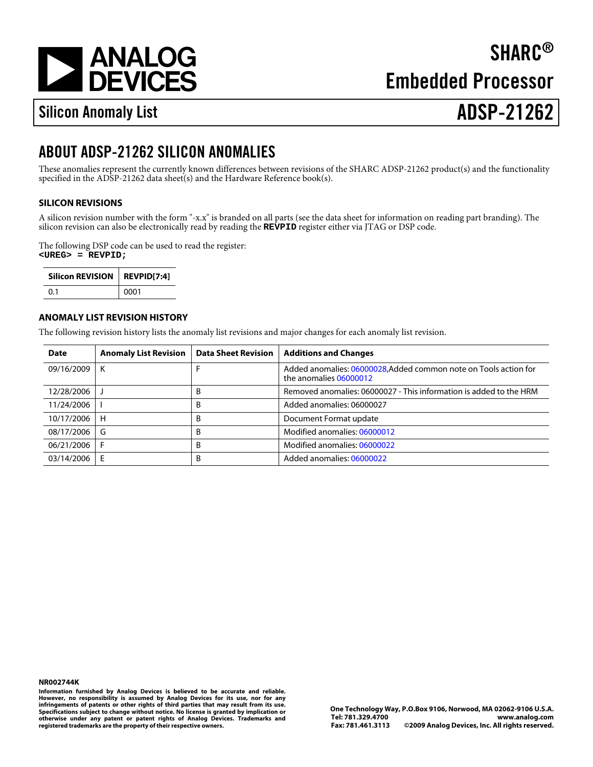[a](http://www.analog.com)

**SHARC** Embedded Processor

# Silicon Anomaly List **ADSP-21262**

## ABOUT ADSP-21262 SILICON ANOMALIES

These anomalies represent the currently known differences between revisions of the SHARC ADSP-21262 product(s) and the functional specified in the ADSP-21262 data sheet(s) and the Hardware Reference book(s).

## SILICON REVISIONS

A silicon revision number with the form "-x.x" is branded on all parts (see the data sheet for information on reading part branding). The silicon revision can also be electronically read by reading the REVPID register either via JTAG or DSP code.

The following DSP code can be used to read the register: <UREG> = REVPID;

Silicon REVISION REVPID[7:4] 0.1 0001

### ANOMALY LIST REVISION HISTORY

The following revision history lists the anomaly list revisions and major changes for each anomaly list revision.

| Date           | Anomaly List Revision | Data Sheet Revision I | <b>Additions and Changes</b>                                                          |
|----------------|-----------------------|-----------------------|---------------------------------------------------------------------------------------|
| 09/16/2009     | К                     |                       | Added anomalies06000028Added common note on Tools action for<br>the anomalies06000012 |
| 12/28/2006     |                       | В                     | Removed anomalies06000027- This information is added to the HRM                       |
| 11/24/2006     |                       | В                     | Added anomalies06000027                                                               |
| 10/17/2006   H |                       | В                     | Document Format update                                                                |
| $08/17/2006$ G |                       | В                     | Modified anomalies06000012                                                            |
| 06/21/2006     |                       | В                     | Modified anomalies06000022                                                            |
| 03/14/2006     | -E                    | В                     | Added anomalies06000022                                                               |

NR002744K

Information furnished by Analog Devices is believed to be accurate and reliable. However, no responsibility is assumed by Analog Devices for its use, nor for any infringements of patents or other rights of third parties that may result from its use. Specifications subject to change without notice. No license is granted by implication or otherwise under any patent or patent rights of Analog Devices. Trademarks and registered trademarks are the property of their respective owners.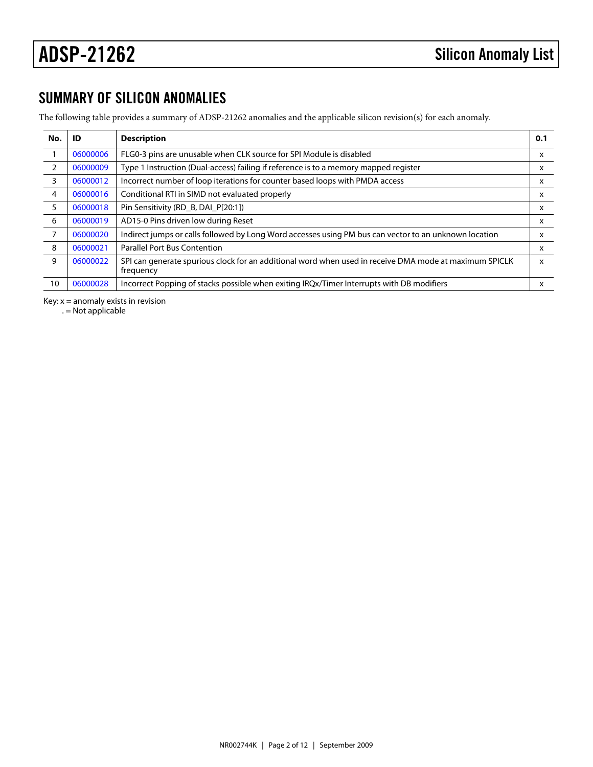## SUMMARY OF SILICON ANOMALIES

The following table provides a summary of ADSP-21262 anomalies and the applicable silicon revision(s) for each anomaly.

<span id="page-1-4"></span><span id="page-1-3"></span><span id="page-1-2"></span><span id="page-1-1"></span><span id="page-1-0"></span>

| No.            | ID       | Description                                                                                                         | 0.1 |
|----------------|----------|---------------------------------------------------------------------------------------------------------------------|-----|
| $\mathbf{1}$   | 06000006 | FLG0-3 pins are unusable when CLK source for SPI Module is disabled                                                 | x   |
| 2              | 06000009 | Type 1 Instruction (Dual-access) failing if reference is to a memory mapped register                                | x   |
| 3              | 06000012 | Incorrect number of loop iterations for counter based loops with PMDA access                                        | x   |
| 4              | 06000016 | Conditional RTI in SIMD not evaluated properly                                                                      | x   |
| 5              | 06000018 | Pin Sensitivity (RD_B, DAI_P[20:1])                                                                                 | x   |
| 6              | 06000019 | AD15-0 Pins driven low during Reset                                                                                 | x   |
| $\overline{7}$ | 06000020 | Indirect jumps or calls followed by Long Word accesses using PM bus can vector to an unknown location               | x   |
| 8              | 06000021 | Parallel Port Bus Contention                                                                                        | x   |
| 9              | 06000022 | SPI can generate spurious clock for an additional word when used in receive DMA mode at maximum SPICLK<br>frequency |     |
| 10             | 06000028 | Incorrect Popping of stacks possible when exiting IRQx/Timer Interrupts with DB modifiers                           | x   |

<span id="page-1-9"></span><span id="page-1-8"></span><span id="page-1-7"></span><span id="page-1-6"></span><span id="page-1-5"></span>Key:  $x =$  anomaly exists in revision

 $. =$  Not applicable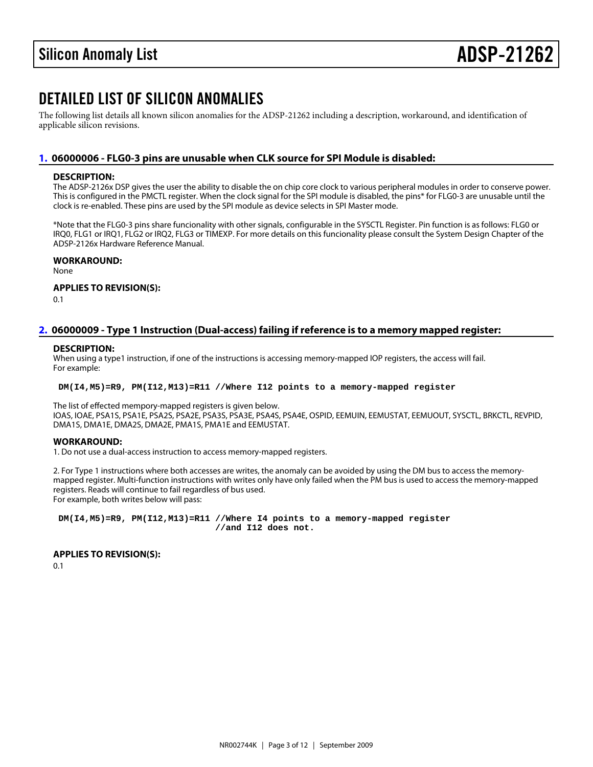## DETAILED LIST OF SILICON ANOMALIES

The following list details all known silicon anomalies for the ADSP-21262 including a description, workaround, and identification of applicable silicon revisions.

#### <span id="page-2-0"></span>[1.](#page-1-0) 06000006 - FLG0-3 pins are unusable when CLK source for SPI Module is disabled:

#### DESCRIPTION:

The ADSP-2126x DSP gives the user the ability to disable the on chip core clock to various peripheral modules in order to conserve power. This is configured in the PMCTL register. When the clock signal for the SPI module is disabled, the pins\* for FLG0-3 are unusable until the clock is re-enabled. These pins are used by the SPI module as device selects in SPI Master mode.

\*Note that the FLG0-3 pins share funcionality with other signals, configurable in the SYSCTL Register. Pin function is as follows: FLG0 or IRQ0, FLG1 or IRQ1, FLG2 or IRQ2, FLG3 or TIMEXP. For more details on this funcionality please consult the System Design Chapter of th ADSP-2126x Hardware Reference Manual.

WORKAROUND:

None

APPLIES TO REVISION(S):

0.1

### <span id="page-2-1"></span>[2.](#page-1-1) 06000009 - Type 1 Instruction (Dual-access) failing if reference is to a memory mapped register:

#### DESCRIPTION:

When using a type1 instruction, if one of the instructions is accessing memory-mapped IOP registers, the access will fail. For example:

DM(I4,M5)=R9, PM(I12,M13)=R11 //Where I12 points to a memory-mapped register

The list of effected mempory-mapped registers is given below. IOAS, IOAE, PSA1S, PSA1E, PSA2S, PSA2E, PSA3S, PSA3E, PSA4S, PSA4E, OSPID, EEMUIN, EEMUSTAT, EEMUOUT, SYSCTL, BRI DMA1S, DMA1E, DMA2S, DMA2E, PMA1S, PMA1E and EEMUSTAT.

#### WORKAROUND:

1. Do not use a dual-access instruction to access memory-mapped registers.

2. For Type 1 instructions where both accesses are writes, the anomaly can be avoided by using the DM bus to access the memorymapped register. Multi-function instructions with writes only have only failed when the PM bus is used to access the memory-mapped registers. Reads will continue to fail regardless of bus used. For example, both writes below will pass:

 DM(I4,M5)=R9, PM(I12,M13)=R11 //Where I4 points to a memory-mapped register //and I12 does not.

APPLIES TO REVISION(S): 0.1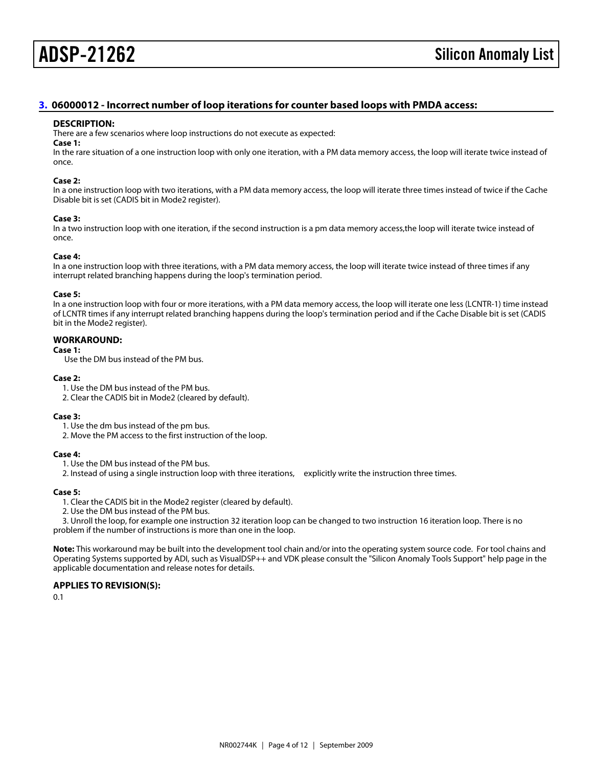#### <span id="page-3-0"></span>[3.](#page-1-2) 06000012 - Incorrect number of loop iterations for counter based loops with PMDA access:

#### DESCRIPTION:

There are a few scenarios where loop instructions do not execute as expected:

#### Case 1:

In the rare situation of a one instruction loop with only one iteration, with a PM data memory access, the loop will iterate twice instead of once.

#### Case 2:

In a one instruction loop with two iterations, with a PM data memory access, the loop will iterate three times instead of twice if the Cache Disable bit is set (CADIS bit in Mode2 register).

#### Case 3:

In a two instruction loop with one iteration, if the second instruction is a pm data memory access,the loop will iterate twice instead of once.

#### Case 4:

In a one instruction loop with three iterations, with a PM data memory access, the loop will iterate twice instead of three times if any interrupt related branching happens during the loop's termination period.

#### Case 5:

In a one instruction loop with four or more iterations, with a PM data memory access, the loop will iterate one less (LCNTR-1) time instead of LCNTR times if any interrupt related branching happens during the loop's termination period and if the Cache Disable bit is set (CADIS bit in the Mode2 register).

#### WORKAROUND:

Case 1:

Use the DM bus instead of the PM bus.

#### Case 2:

- 1. Use the DM bus instead of the PM bus.
- 2. Clear the CADIS bit in Mode2 (cleared by default).

#### Case 3:

- 1. Use the dm bus instead of the pm bus.
- 2. Move the PM access to the first instruction of the loop.

#### Case 4:

- 1. Use the DM bus instead of the PM bus.
- 2. Instead of using a single instruction loop with three iterations, explicitly write the instruction three times.

#### Case 5:

- 1. Clear the CADIS bit in the Mode2 register (cleared by default).
- 2. Use the DM bus instead of the PM bus.

 3. Unroll the loop, for example one instruction 32 iteration loop can be changed to two instruction 16 iteration loop. There is no problem if the number of instructions is more than one in the loop.

Note: This workaround may be built into the development tool chain and/or into the operating system source code. For tool chains and Operating Systems supported by ADI, such as VisualDSP++ and VDK please consult the "Silicon Anomaly Tools Support" help page in the applicable documentation and release notes for details.

#### APPLIES TO REVISION(S):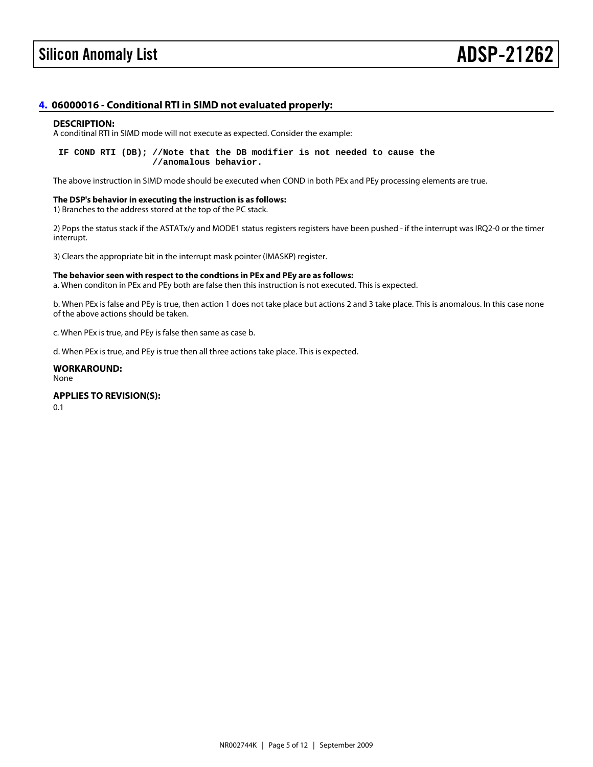## <span id="page-4-0"></span>[4.](#page-1-3) 06000016 - Conditional RTI in SIMD not evaluated properly:

#### DESCRIPTION:

A conditinal RTI in SIMD mode will not execute as expected. Consider the example:

 IF COND RTI (DB); //Note that the DB modifier is not needed to cause the //anomalous behavior.

The above instruction in SIMD mode should be executed when COND in both PEx and PEy processing elements are true.

The DSP's behavior in executing the instruction is as follows: 1) Branches to the address stored at the top of the PC stack.

2) Pops the status stack if the ASTATx/y and MODE1 status registers registers have been pushed - if the interrupt was IRQ2-0 or the timer interrupt.

3) Clears the appropriate bit in the interrupt mask pointer (IMASKP) register.

The behavior seen with respect to the condtions in PEx and PEy are as follows: a. When conditon in PEx and PEy both are false then this instruction is not executed. This is expected.

b. When PEx is false and PEy is true, then action 1 does not take place but actions 2 and 3 take place. This is anomalous. In this case none of the above actions should be taken.

c. When PEx is true, and PEy is false then same as case b.

d. When PEx is true, and PEy is true then all three actions take place. This is expected.

WORKAROUND: None APPLIES TO REVISION(S):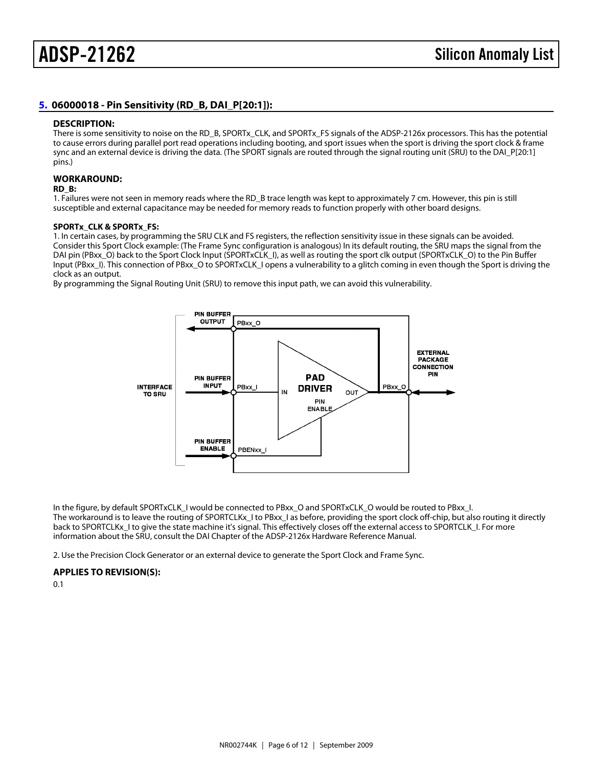#### <span id="page-5-0"></span>[5.](#page-1-4) 06000018 - Pin Sensitivity (RD\_B, DAI\_P[20:1]):

#### DESCRIPTION:

There is some sensitivity to noise on the RD\_B, SPORTx\_CLK, and SPORTx\_FS signals of the ADSP-2126x processors. This has the potential to cause errors during parallel port read operations including booting, and sport issues when the sport is driving the sport clock & frame sync and an external device is driving the data. (The SPORT signals are routed through the signal routing unit (SRU) to the DAI\_P[20:1] pins.)

#### WORKAROUND:

RD\_B:

1. Failures were not seen in memory reads where the RD\_B trace length was kept to approximately 7 cm. However, this pin is still susceptible and external capacitance may be needed for memory reads to function properly with other board designs.

#### SPORTx\_CLK & SPORTx\_FS:

1. In certain cases, by programming the SRU CLK and FS registers, the reflection sensitivity issue in these signals can be avoided. Consider this Sport Clock example: (The Frame Sync configuration is analogous) In its default routing, the SRU maps the signal from the DAI pin (PBxx\_O) back to the Sport Clock Input (SPORTxCLK\_I), as well as routing the sport clk output (SPORTxCLK\_O) to the Pin Buffer Input (PBxx\_I). This connection of PBxx\_O to SPORTxCLK\_I opens a vulnerability to a glitch coming in even though the Sport is driving the clock as an output.

By programming the Signal Routing Unit (SRU) to remove this input path, we can avoid this vulnerability.

In the figure, by default SPORTxCLK I would be connected to PBxx O and SPORTxCLK O would be routed to PBxx I. The workaround is to leave the routing of SPORTCLKx\_I to PBxx\_I as before, providing the sport clock off-chip, but also routing it directly back to SPORTCLKx\_I to give the state machine it's signal. This effectively closes off the external access to SPORTCLK\_I. For more information about the SRU, consult the DAI Chapter of the ADSP-2126x Hardware Reference Manual.

2. Use the Precision Clock Generator or an external device to generate the Sport Clock and Frame Sync.

APPLIES TO REVISION(S):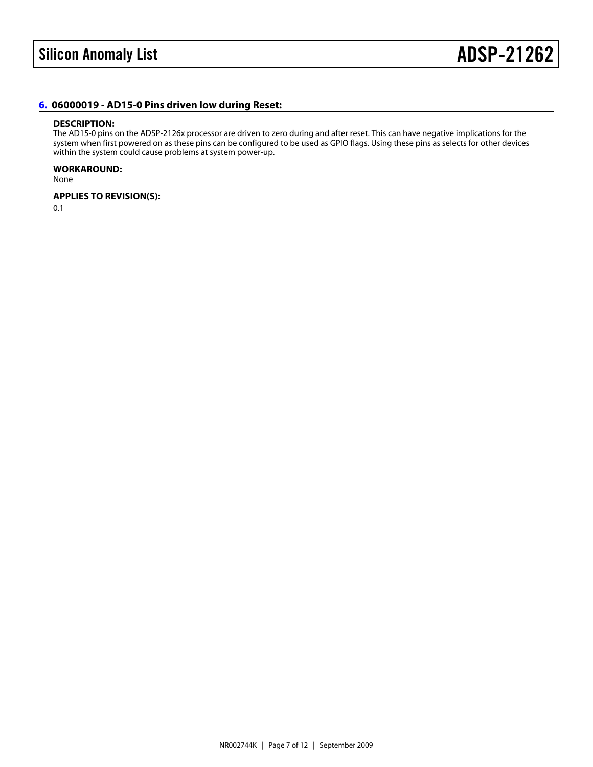<span id="page-6-0"></span>[6.](#page-1-5) 06000019 - AD15-0 Pins driven low during Reset:

#### DESCRIPTION:

The AD15-0 pins on the ADSP-2126x processor are driven to zero during and after reset. This can have negative implications for the system when first powered on as these pins can be configured to be used as GPIO flags. Using these pins as selects for other devices within the system could cause problems at system power-up.

WORKAROUND: None

APPLIES TO REVISION(S): 0.1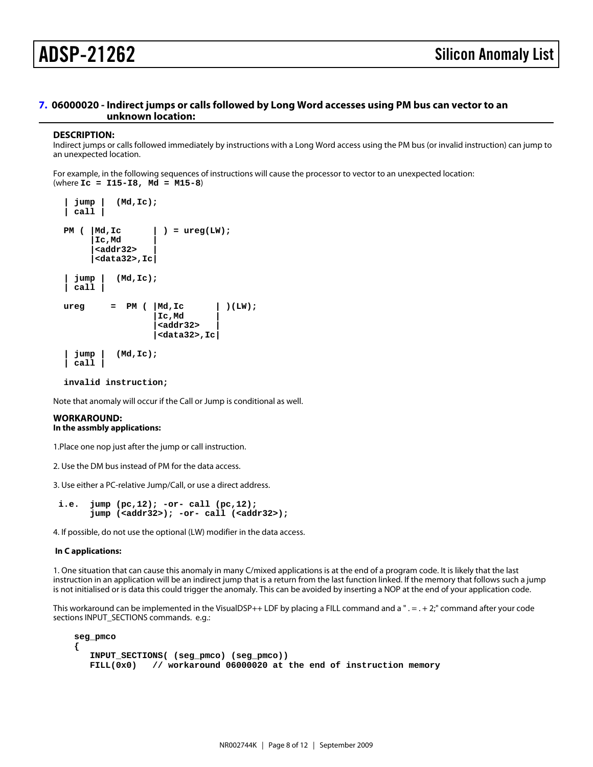#### <span id="page-7-0"></span>[7.](#page-1-6) 06000020 - Indirect jumps or calls followed by Long Word accesses using PM bus can vector to an unknown location:

#### DESCRIPTION:

Indirect jumps or calls followed immediately by instructions with a Long Word access using the PM bus (or invalid instruction) can jump to an unexpected location.

For example, in the following sequences of instructions will cause the processor to vector to an unexpected location: (where  $lc = 115-18$ , Md = M15-8)

```
 | jump | (Md,Ic);
 | call |
PM ( |Md,lc | ) = ureg(LW);
   |lc, Md |<addr32> |
    |<data32>,Ic|
 | jump | (Md,Ic);
 | call |
ureg = PM ( |Md, lc | ) (LW);|lc, Md|<addr32>
            |<data32>,Ic|
 | jump | (Md,Ic);
 | call |
```
invalid instruction;

Note that anomaly will occur if the Call or Jump is conditional as well.

#### WORKAROUND:

In the assmbly applications:

- 1.Place one nop just after the jump or call instruction.
- 2. Use the DM bus instead of PM for the data access.
- 3. Use either a PC-relative Jump/Call, or use a direct address.
- i.e. jump (pc,12); -or- call (pc,12); jump (<addr32>); -or- call (<addr32>);

4. If possible, do not use the optional (LW) modifier in the data access.

In C applications:

1. One situation that can cause this anomaly in many C/mixed applications is at the end of a program code. It is likely that the last instruction in an application will be an indirect jump that is a return from the last function linked. If the memory that follows such a jump is not initialised or is data this could trigger the anomaly. This can be avoided by inserting a NOP at the end of your application code.

This workaround can be implemented in the VisualDSP++ LDF by placing a FILL command and  $a'' = - + 2$ ; command after your code sections INPUT\_SECTIONS commands. e.g.:

seg\_pmco

{

 INPUT\_SECTIONS( (seg\_pmco) (seg\_pmco)) FILL(0x0) // workaround 06000020 at the end of instruction memory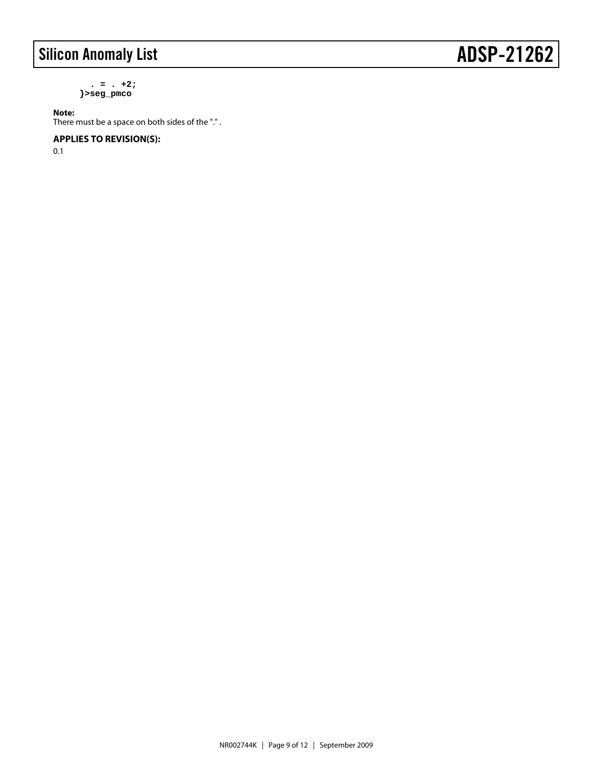**. = . +2; }>seg\_pmco**

#### **Note:**

There must be a space on both sides of the "." .

#### **APPLIES TO REVISION(S):**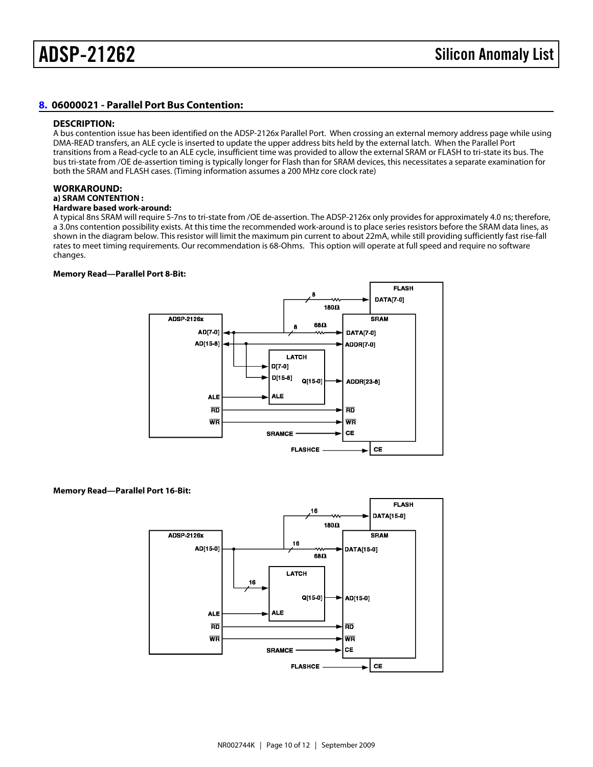#### <span id="page-9-0"></span>[8.](#page-1-7) 06000021 - Parallel Port Bus Contention:

#### DESCRIPTION:

A bus contention issue has been identified on the ADSP-2126x Parallel Port. When crossing an external memory address page while using DMA-READ transfers, an ALE cycle is inserted to update the upper address bits held by the external latch. When the Parallel Port transitions from a Read-cycle to an ALE cycle, insufficient time was provided to allow the external SRAM or FLASH to tri-state its bus. The bus tri-state from /OE de-assertion timing is typically longer for Flash than for SRAM devices, this necessitates a separate examination for both the SRAM and FLASH cases. (Timing information assumes a 200 MHz core clock rate)

#### WORKAROUND:

#### a) SRAM CONTENTION :

Hardware based work-around:

A typical 8ns SRAM will require 5-7ns to tri-state from /OE de-assertion. The ADSP-2126x only provides for approximately 4.0 ns; therefore, a 3.0ns contention possibility exists. At this time the recommended work-around is to place series resistors before the SRAM data lines, as shown in the diagram below. This resistor will limit the maximum pin current to about 22mA, while still providing sufficiently fast rise-fall rates to meet timing requirements. Our recommendation is 68-Ohms. This option will operate at full speed and require no software changes.

Memory Read—Parallel Port 8-Bit:

Memory Read—Parallel Port 16-Bit: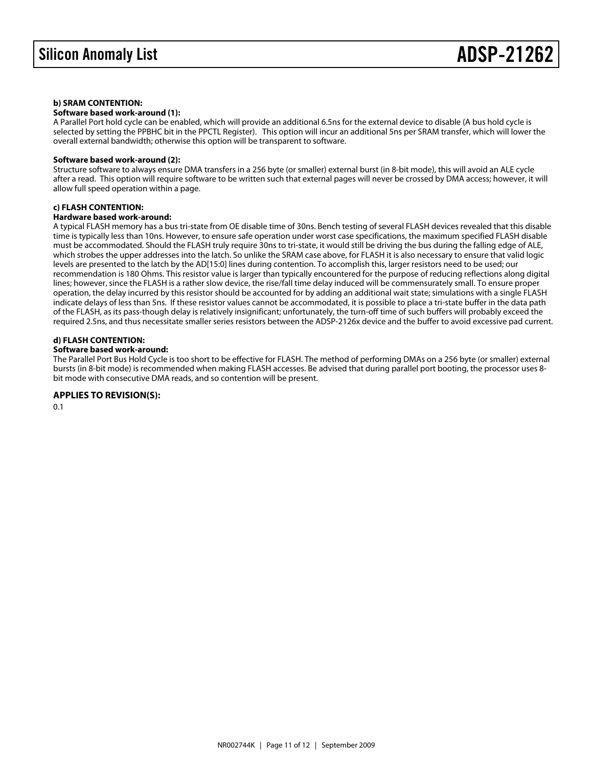#### **b) SRAM CONTENTION:**

#### **Software based work-around (1):**

A Parallel Port hold cycle can be enabled, which will provide an additional 6.5ns for the external device to disable (A bus hold cycle is selected by setting the PPBHC bit in the PPCTL Register). This option will incur an additional 5ns per SRAM transfer, which will lower the overall external bandwidth; otherwise this option will be transparent to software.

#### **Software based work-around (2):**

Structure software to always ensure DMA transfers in a 256 byte (or smaller) external burst (in 8-bit mode), this will avoid an ALE cycle after a read. This option will require software to be written such that external pages will never be crossed by DMA access; however, it will allow full speed operation within a page.

#### **c) FLASH CONTENTION:**

#### **Hardware based work-around:**

A typical FLASH memory has a bus tri-state from OE disable time of 30ns. Bench testing of several FLASH devices revealed that this disable time is typically less than 10ns. However, to ensure safe operation under worst case specifications, the maximum specified FLASH disable must be accommodated. Should the FLASH truly require 30ns to tri-state, it would still be driving the bus during the falling edge of ALE, which strobes the upper addresses into the latch. So unlike the SRAM case above, for FLASH it is also necessary to ensure that valid logic levels are presented to the latch by the AD[15:0] lines during contention. To accomplish this, larger resistors need to be used; our recommendation is 180 Ohms. This resistor value is larger than typically encountered for the purpose of reducing reflections along digital lines; however, since the FLASH is a rather slow device, the rise/fall time delay induced will be commensurately small. To ensure proper operation, the delay incurred by this resistor should be accounted for by adding an additional wait state; simulations with a single FLASH indicate delays of less than 5ns. If these resistor values cannot be accommodated, it is possible to place a tri-state buffer in the data path of the FLASH, as its pass-though delay is relatively insignificant; unfortunately, the turn-off time of such buffers will probably exceed the required 2.5ns, and thus necessitate smaller series resistors between the ADSP-2126x device and the buffer to avoid excessive pad current.

#### **d) FLASH CONTENTION:**

#### **Software based work-around:**

The Parallel Port Bus Hold Cycle is too short to be effective for FLASH. The method of performing DMAs on a 256 byte (or smaller) external bursts (in 8-bit mode) is recommended when making FLASH accesses. Be advised that during parallel port booting, the processor uses 8 bit mode with consecutive DMA reads, and so contention will be present.

#### **APPLIES TO REVISION(S):**